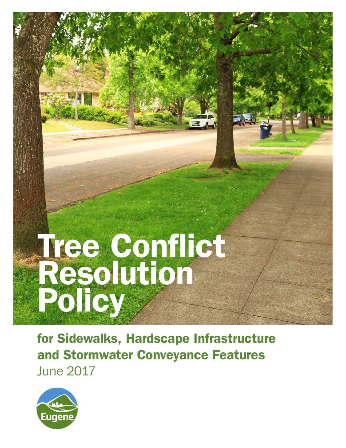# Tree Conflict Resolution Policy

for Sidewalks, Hardscape Infrastructure and Stormwater Conveyance Features June 2017

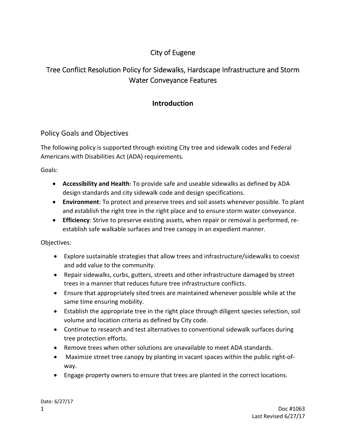## City of Eugene

# Tree Conflict Resolution Policy for Sidewalks, Hardscape Infrastructure and Storm Water Conveyance Features

## **Introduction**

## Policy Goals and Objectives

The following policy is supported through existing City tree and sidewalk codes and Federal Americans with Disabilities Act (ADA) requirements.

Goals:

- **Accessibility and Health**: To provide safe and useable sidewalks as defined by ADA design standards and city sidewalk code and design specifications.
- **Environment**: To protect and preserve trees and soil assets whenever possible. To plant and establish the right tree in the right place and to ensure storm water conveyance.
- **Efficiency**: Strive to preserve existing assets, when repair or removal is performed, re‐ establish safe walkable surfaces and tree canopy in an expedient manner.

Objectives:

- Explore sustainable strategies that allow trees and infrastructure/sidewalks to coexist and add value to the community.
- Repair sidewalks, curbs, gutters, streets and other infrastructure damaged by street trees in a manner that reduces future tree infrastructure conflicts.
- Ensure that appropriately sited trees are maintained whenever possible while at the same time ensuring mobility.
- Establish the appropriate tree in the right place through diligent species selection, soil volume and location criteria as defined by City code.
- Continue to research and test alternatives to conventional sidewalk surfaces during tree protection efforts.
- Remove trees when other solutions are unavailable to meet ADA standards.
- Maximize street tree canopy by planting in vacant spaces within the public right-ofway.
- Engage property owners to ensure that trees are planted in the correct locations.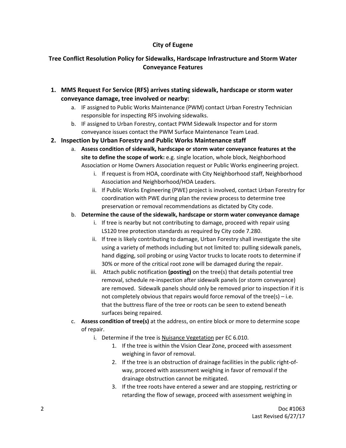### **City of Eugene**

## **Tree Conflict Resolution Policy for Sidewalks, Hardscape Infrastructure and Storm Water Conveyance Features**

- **1. MMS Request For Service (RFS) arrives stating sidewalk, hardscape or storm water conveyance damage, tree involved or nearby:**
	- a. IF assigned to Public Works Maintenance (PWM) contact Urban Forestry Technician responsible for inspecting RFS involving sidewalks.
	- b. IF assigned to Urban Forestry, contact PWM Sidewalk Inspector and for storm conveyance issues contact the PWM Surface Maintenance Team Lead.
- **2. Inspection by Urban Forestry and Public Works Maintenance staff** 
	- a. **Assess condition of sidewalk, hardscape or storm water conveyance features at the site to define the scope of work:** e.g. single location, whole block, Neighborhood Association or Home Owners Association request or Public Works engineering project.
		- i. If request is from HOA, coordinate with City Neighborhood staff, Neighborhood Association and Neighborhood/HOA Leaders.
		- ii. If Public Works Engineering (PWE) project is involved, contact Urban Forestry for coordination with PWE during plan the review process to determine tree preservation or removal recommendations as dictated by City code.
	- b. **Determine the cause of the sidewalk, hardscape or storm water conveyance damage**
		- i. If tree is nearby but not contributing to damage, proceed with repair using LS120 tree protection standards as required by City code 7.280.
		- ii. If tree is likely contributing to damage, Urban Forestry shall investigate the site using a variety of methods including but not limited to: pulling sidewalk panels, hand digging, soil probing or using Vactor trucks to locate roots to determine if 30% or more of the critical root zone will be damaged during the repair.
		- iii. Attach public notification **(posting)** on the tree(s) that details potential tree removal, schedule re‐inspection after sidewalk panels (or storm conveyance) are removed. Sidewalk panels should only be removed prior to inspection if it is not completely obvious that repairs would force removal of the tree(s) – i.e. that the buttress flare of the tree or roots can be seen to extend beneath surfaces being repaired.
	- c. **Assess condition of tree(s)** at the address, on entire block or more to determine scope of repair.
		- i. Determine if the tree is Nuisance Vegetation per EC 6.010.
			- 1. If the tree is within the Vision Clear Zone, proceed with assessment weighing in favor of removal.
			- 2. If the tree is an obstruction of drainage facilities in the public right-ofway, proceed with assessment weighing in favor of removal if the drainage obstruction cannot be mitigated.
			- 3. If the tree roots have entered a sewer and are stopping, restricting or retarding the flow of sewage, proceed with assessment weighing in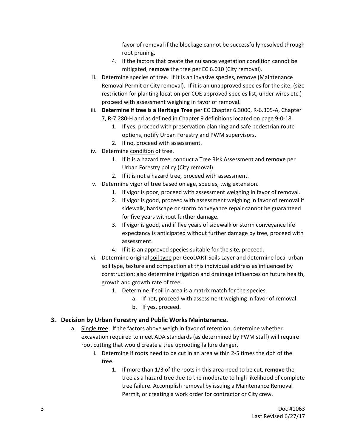favor of removal if the blockage cannot be successfully resolved through root pruning.

- 4. If the factors that create the nuisance vegetation condition cannot be mitigated, **remove** the tree per EC 6.010 (City removal).
- ii. Determine species of tree. If it is an invasive species, remove (Maintenance Removal Permit or City removal). If it is an unapproved species for the site, (size restriction for planting location per COE approved species list, under wires etc.) proceed with assessment weighing in favor of removal.
- iii. **Determine if tree is a Heritage Tree** per EC Chapter 6.3000, R‐6.305‐A, Chapter 7, R‐7.280‐H and as defined in Chapter 9 definitions located on page 9‐0‐18.
	- 1. If yes, proceed with preservation planning and safe pedestrian route options, notify Urban Forestry and PWM supervisors.
	- 2. If no, proceed with assessment.
- iv. Determine condition of tree.
	- 1. If it is a hazard tree, conduct a Tree Risk Assessment and **remove** per Urban Forestry policy (City removal).
	- 2. If it is not a hazard tree, proceed with assessment.
- v. Determine vigor of tree based on age, species, twig extension.
	- 1. If vigor is poor, proceed with assessment weighing in favor of removal.
	- 2. If vigor is good, proceed with assessment weighing in favor of removal if sidewalk, hardscape or storm conveyance repair cannot be guaranteed for five years without further damage.
	- 3. If vigor is good, and if five years of sidewalk or storm conveyance life expectancy is anticipated without further damage by tree, proceed with assessment.
	- 4. If it is an approved species suitable for the site, proceed.
- vi. Determine original soil type per GeoDART Soils Layer and determine local urban soil type, texture and compaction at this individual address as influenced by construction; also determine irrigation and drainage influences on future health, growth and growth rate of tree.
	- 1. Determine if soil in area is a matrix match for the species.
		- a. If not, proceed with assessment weighing in favor of removal.
		- b. If yes, proceed.

### **3. Decision by Urban Forestry and Public Works Maintenance.**

- a. Single tree. If the factors above weigh in favor of retention, determine whether excavation required to meet ADA standards (as determined by PWM staff) will require root cutting that would create a tree uprooting failure danger.
	- i. Determine if roots need to be cut in an area within 2‐5 times the dbh of the tree.
		- 1. If more than 1/3 of the roots in this area need to be cut, **remove** the tree as a hazard tree due to the moderate to high likelihood of complete tree failure. Accomplish removal by issuing a Maintenance Removal Permit, or creating a work order for contractor or City crew.